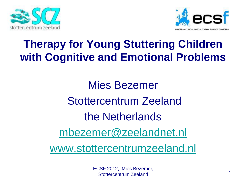



#### **Therapy for Young Stuttering Children with Cognitive and Emotional Problems**

Mies Bezemer Stottercentrum Zeeland the Netherlands [mbezemer@zeelandnet.nl](mailto:mbezemer@zeelandnet.nl)

[www.stottercentrumzeeland.nl](http://www.stottercentrumzeeland.nl/)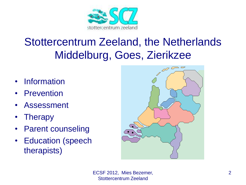

#### Stottercentrum Zeeland, the Netherlands Middelburg, Goes, Zierikzee

- Information
- **Prevention**
- **Assessment**
- **Therapy**
- Parent counseling
- Education (speech therapists)

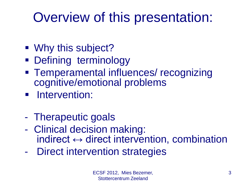## Overview of this presentation:

- Why this subject?
- **Defining terminology**
- **Temperamental influences/ recognizing** cognitive/emotional problems
- **Intervention:**
- Therapeutic goals
- Clinical decision making: indirect  $\leftrightarrow$  direct intervention, combination
- Direct intervention strategies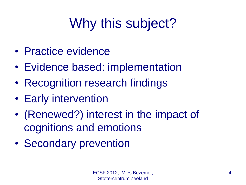## Why this subject?

- Practice evidence
- Evidence based: implementation
- Recognition research findings
- Early intervention
- (Renewed?) interest in the impact of cognitions and emotions
- Secondary prevention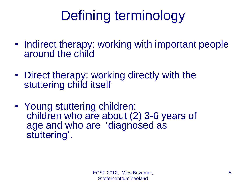## Defining terminology

- Indirect therapy: working with important people around the child
- Direct therapy: working directly with the stuttering child itself
- Young stuttering children: children who are about (2) 3-6 years of age and who are 'diagnosed as stuttering'.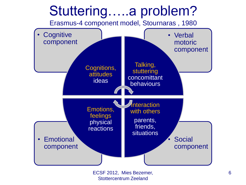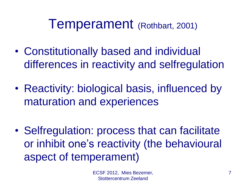### Temperament (Rothbart, 2001)

- Constitutionally based and individual differences in reactivity and selfregulation
- Reactivity: biological basis, influenced by maturation and experiences
- Selfregulation: process that can facilitate or inhibit one's reactivity (the behavioural aspect of temperament)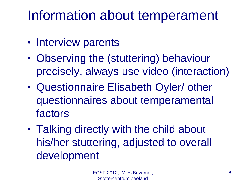## Information about temperament

- Interview parents
- Observing the (stuttering) behaviour precisely, always use video (interaction)
- Questionnaire Elisabeth Oyler/ other questionnaires about temperamental factors
- Talking directly with the child about his/her stuttering, adjusted to overall development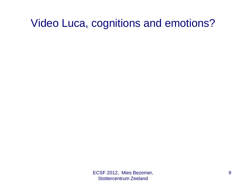#### Video Luca, cognitions and emotions?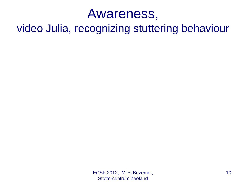### Awareness,

video Julia, recognizing stuttering behaviour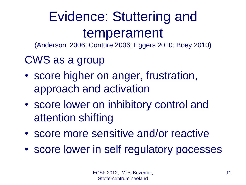## Evidence: Stuttering and temperament

(Anderson, 2006; Conture 2006; Eggers 2010; Boey 2010)

### CWS as a group

- score higher on anger, frustration, approach and activation
- score lower on inhibitory control and attention shifting
- score more sensitive and/or reactive
- score lower in self regulatory pocesses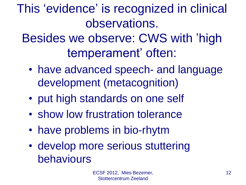This 'evidence' is recognized in clinical observations.

Besides we observe: CWS with 'high temperament' often:

- have advanced speech- and language development (metacognition)
- put high standards on one self
- show low frustration tolerance
- have problems in bio-rhytm
- develop more serious stuttering behaviours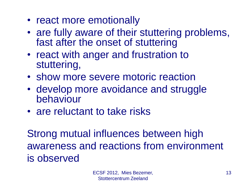- react more emotionally
- are fully aware of their stuttering problems, fast after the onset of stuttering
- react with anger and frustration to stuttering,
- show more severe motoric reaction
- develop more avoidance and struggle behaviour
- are reluctant to take risks

Strong mutual influences between high awareness and reactions from environment is observed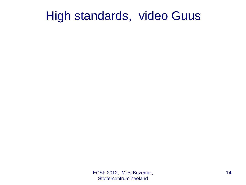### High standards, video Guus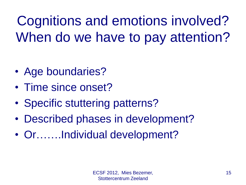Cognitions and emotions involved? When do we have to pay attention?

- Age boundaries?
- Time since onset?
- Specific stuttering patterns?
- Described phases in development?
- Or…….Individual development?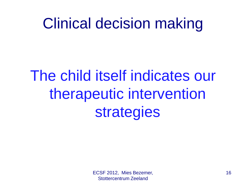## Clinical decision making

# The child itself indicates our therapeutic intervention strategies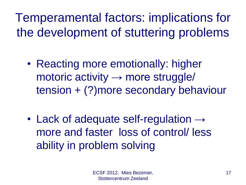Temperamental factors: implications for the development of stuttering problems

- Reacting more emotionally: higher motoric activity  $\rightarrow$  more struggle/ tension + (?)more secondary behaviour
- Lack of adequate self-regulation  $\rightarrow$ more and faster loss of control/ less ability in problem solving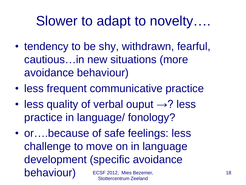## Slower to adapt to novelty….

- tendency to be shy, withdrawn, fearful, cautious…in new situations (more avoidance behaviour)
- less frequent communicative practice
- less quality of verbal ouput  $\rightarrow$ ? less practice in language/ fonology?
- or….because of safe feelings: less challenge to move on in language development (specific avoidance behaviour) ECSF 2012, Mies Bezemer, Stottercentrum Zeeland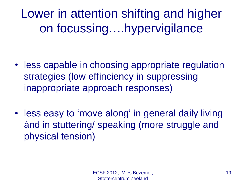Lower in attention shifting and higher on focussing….hypervigilance

- less capable in choosing appropriate regulation strategies (low effinciency in suppressing inappropriate approach responses)
- less easy to 'move along' in general daily living ánd in stuttering/ speaking (more struggle and physical tension)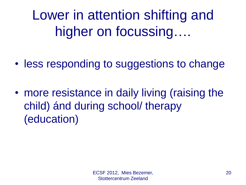Lower in attention shifting and higher on focussing….

- less responding to suggestions to change
- more resistance in daily living (raising the child) ánd during school/ therapy (education)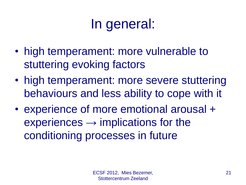## In general:

- high temperament: more vulnerable to stuttering evoking factors
- high temperament: more severe stuttering behaviours and less ability to cope with it
- experience of more emotional arousal +  $experiments \rightarrow implications for the$ conditioning processes in future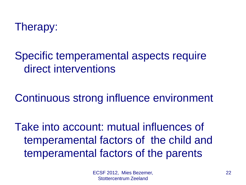

Specific temperamental aspects require direct interventions

Continuous strong influence environment

Take into account: mutual influences of temperamental factors of the child and temperamental factors of the parents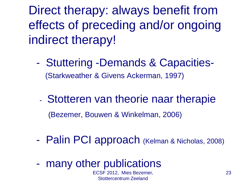Direct therapy: always benefit from effects of preceding and/or ongoing indirect therapy!

- Stuttering -Demands & Capacities- (Starkweather & Givens Ackerman, 1997)
	- Stotteren van theorie naar therapie (Bezemer, Bouwen & Winkelman, 2006)
- Palin PCI approach (Kelman & Nicholas, 2008)
- many other publications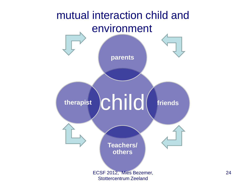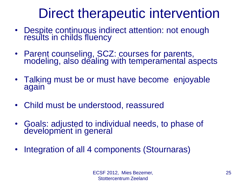## Direct therapeutic intervention

- Despite continuous indirect attention: not enough results in childs fluency
- Parent counseling, SCZ: courses for parents, modeling, also dealing with temperamental aspects
- Talking must be or must have become enjoyable again
- Child must be understood, reassured
- Goals: adjusted to individual needs, to phase of development in general
- Integration of all 4 components (Stournaras)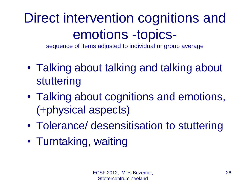## Direct intervention cognitions and emotions -topics-

sequence of items adjusted to individual or group average

- Talking about talking and talking about stuttering
- Talking about cognitions and emotions, (+physical aspects)
- Tolerance/ desensitisation to stuttering
- Turntaking, waiting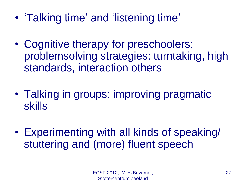- 'Talking time' and 'listening time'
- Cognitive therapy for preschoolers: problemsolving strategies: turntaking, high standards, interaction others
- Talking in groups: improving pragmatic skills
- Experimenting with all kinds of speaking/ stuttering and (more) fluent speech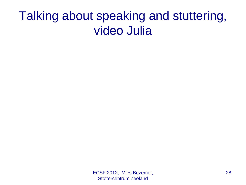### Talking about speaking and stuttering, video Julia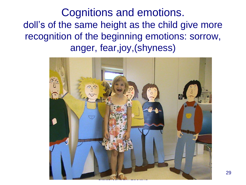Cognitions and emotions. doll's of the same height as the child give more recognition of the beginning emotions: sorrow, anger, fear,joy,(shyness)

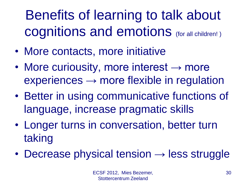## Benefits of learning to talk about cognitions and emotions (for all children! )

- More contacts, more initiative
- More curiousity, more interest  $\rightarrow$  more  $experiments \rightarrow more flexible in regulation$
- Better in using communicative functions of language, increase pragmatic skills
- Longer turns in conversation, better turn taking
- Decrease physical tension  $\rightarrow$  less struggle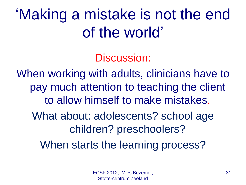## 'Making a mistake is not the end of the world'

Discussion:

When working with adults, clinicians have to pay much attention to teaching the client to allow himself to make mistakes. What about: adolescents? school age children? preschoolers?

When starts the learning process?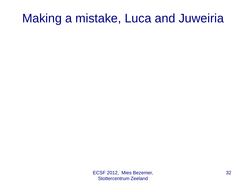### Making a mistake, Luca and Juweiria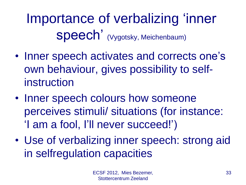Importance of verbalizing 'inner Speech' (Vygotsky, Meichenbaum)

- Inner speech activates and corrects one's own behaviour, gives possibility to selfinstruction
- Inner speech colours how someone perceives stimuli/ situations (for instance: 'I am a fool, I'll never succeed!')
- Use of verbalizing inner speech: strong aid in selfregulation capacities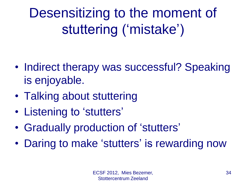Desensitizing to the moment of stuttering ('mistake')

- Indirect therapy was successful? Speaking is enjoyable.
- Talking about stuttering
- Listening to 'stutters'
- Gradually production of 'stutters'
- Daring to make 'stutters' is rewarding now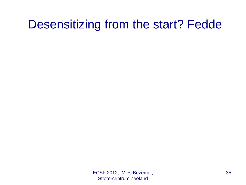### Desensitizing from the start? Fedde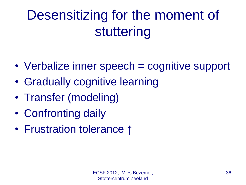## Desensitizing for the moment of stuttering

- Verbalize inner speech = cognitive support
- Gradually cognitive learning
- Transfer (modeling)
- Confronting daily
- Frustration tolerance ↑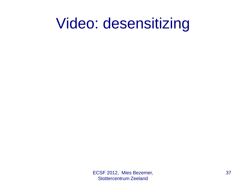## Video: desensitizing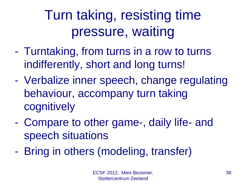## Turn taking, resisting time pressure, waiting

- Turntaking, from turns in a row to turns indifferently, short and long turns!
- Verbalize inner speech, change regulating behaviour, accompany turn taking cognitively
- Compare to other game-, daily life- and speech situations
- Bring in others (modeling, transfer)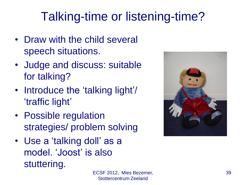### Talking-time or listening-time?

- Draw with the child several speech situations.
- Judge and discuss: suitable for talking?
- Introduce the 'talking light'/ 'traffic light'
- Possible regulation strategies/ problem solving
- Use a 'talking doll' as a model. 'Joost' is also stuttering.

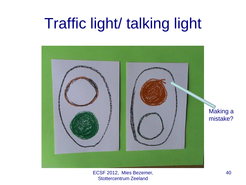## Traffic light/ talking light

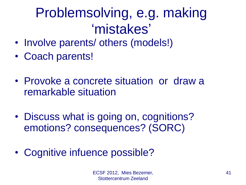## Problemsolving, e.g. making 'mistakes'

- Involve parents/ others (models!)
- Coach parents!
- Provoke a concrete situation or draw a remarkable situation
- Discuss what is going on, cognitions? emotions? consequences? (SORC)
- Cognitive infuence possible?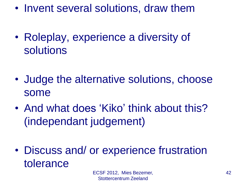- Invent several solutions, draw them
- Roleplay, experience a diversity of solutions
- Judge the alternative solutions, choose some
- And what does 'Kiko' think about this? (independant judgement)
- Discuss and/ or experience frustration tolerance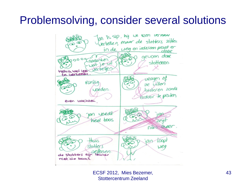#### Problemsolving, consider several solutions

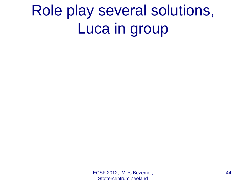# Role play several solutions, Luca in group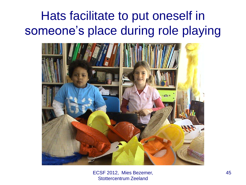### Hats facilitate to put oneself in someone's place during role playing

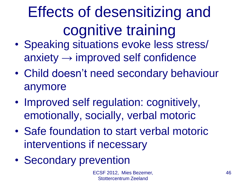# Effects of desensitizing and cognitive training

- Speaking situations evoke less stress/  $anx$ improved self confidence
- Child doesn't need secondary behaviour anymore
- Improved self regulation: cognitively, emotionally, socially, verbal motoric
- Safe foundation to start verbal motoric interventions if necessary
- Secondary prevention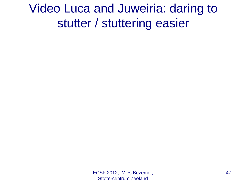### Video Luca and Juweiria: daring to stutter / stuttering easier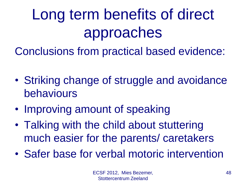# Long term benefits of direct approaches

Conclusions from practical based evidence:

- Striking change of struggle and avoidance behaviours
- Improving amount of speaking
- Talking with the child about stuttering much easier for the parents/ caretakers
- Safer base for verbal motoric intervention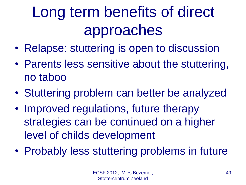# Long term benefits of direct approaches

- Relapse: stuttering is open to discussion
- Parents less sensitive about the stuttering, no taboo
- Stuttering problem can better be analyzed
- Improved regulations, future therapy strategies can be continued on a higher level of childs development
- Probably less stuttering problems in future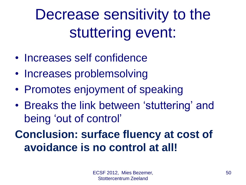Decrease sensitivity to the stuttering event:

- Increases self confidence
- Increases problemsolving
- Promotes enjoyment of speaking
- Breaks the link between 'stuttering' and being 'out of control'

#### **Conclusion: surface fluency at cost of avoidance is no control at all!**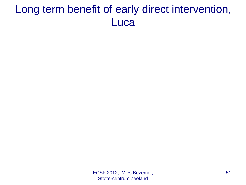#### Long term benefit of early direct intervention, **Luca**